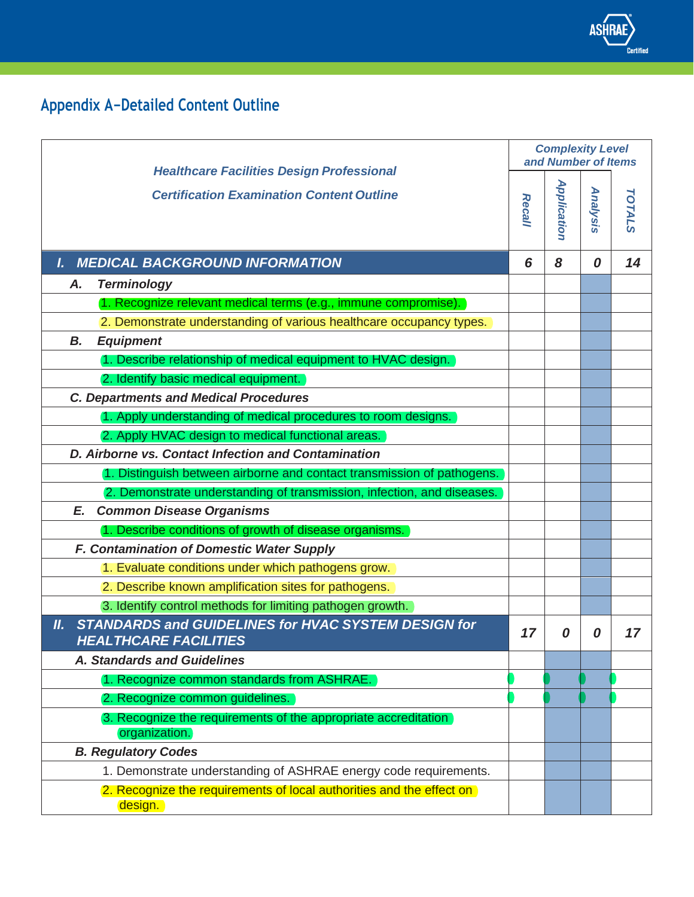

## **Appendix A−Detailed Content Outline**

| <b>Healthcare Facilities Design Professional</b><br><b>Certification Examination Content Outline</b> | <b>Complexity Level</b><br>and Number of Items |             |          |               |
|------------------------------------------------------------------------------------------------------|------------------------------------------------|-------------|----------|---------------|
|                                                                                                      | <b>Recall</b>                                  | Application | Analysis | <b>TOTALS</b> |
| <b>MEDICAL BACKGROUND INFORMATION</b><br>L.                                                          | 6                                              | 8           | 0        | 14            |
| <b>Terminology</b><br>Α.                                                                             |                                                |             |          |               |
| 1. Recognize relevant medical terms (e.g., immune compromise).                                       |                                                |             |          |               |
| 2. Demonstrate understanding of various healthcare occupancy types.                                  |                                                |             |          |               |
| <b>Equipment</b><br>В.                                                                               |                                                |             |          |               |
| 1. Describe relationship of medical equipment to HVAC design.                                        |                                                |             |          |               |
| 2. Identify basic medical equipment.                                                                 |                                                |             |          |               |
| <b>C. Departments and Medical Procedures</b>                                                         |                                                |             |          |               |
| 1. Apply understanding of medical procedures to room designs.                                        |                                                |             |          |               |
| 2. Apply HVAC design to medical functional areas.                                                    |                                                |             |          |               |
| D. Airborne vs. Contact Infection and Contamination                                                  |                                                |             |          |               |
| 1. Distinguish between airborne and contact transmission of pathogens.                               |                                                |             |          |               |
| 2. Demonstrate understanding of transmission, infection, and diseases.                               |                                                |             |          |               |
| <b>Common Disease Organisms</b><br>E.                                                                |                                                |             |          |               |
| 1. Describe conditions of growth of disease organisms.                                               |                                                |             |          |               |
| F. Contamination of Domestic Water Supply                                                            |                                                |             |          |               |
| 1. Evaluate conditions under which pathogens grow.                                                   |                                                |             |          |               |
| 2. Describe known amplification sites for pathogens.                                                 |                                                |             |          |               |
| 3. Identify control methods for limiting pathogen growth.                                            |                                                |             |          |               |
| <b>STANDARDS and GUIDELINES for HVAC SYSTEM DESIGN for</b><br>II.<br><b>HEALTHCARE FACILITIES</b>    | 17                                             | 0           | 0        | 17            |
| <b>A. Standards and Guidelines</b>                                                                   |                                                |             |          |               |
| 1. Recognize common standards from ASHRAE.                                                           |                                                |             |          |               |
| 2. Recognize common guidelines.                                                                      |                                                |             |          |               |
| 3. Recognize the requirements of the appropriate accreditation<br>organization.                      |                                                |             |          |               |
| <b>B. Regulatory Codes</b>                                                                           |                                                |             |          |               |
| 1. Demonstrate understanding of ASHRAE energy code requirements.                                     |                                                |             |          |               |
| 2. Recognize the requirements of local authorities and the effect on<br>design.                      |                                                |             |          |               |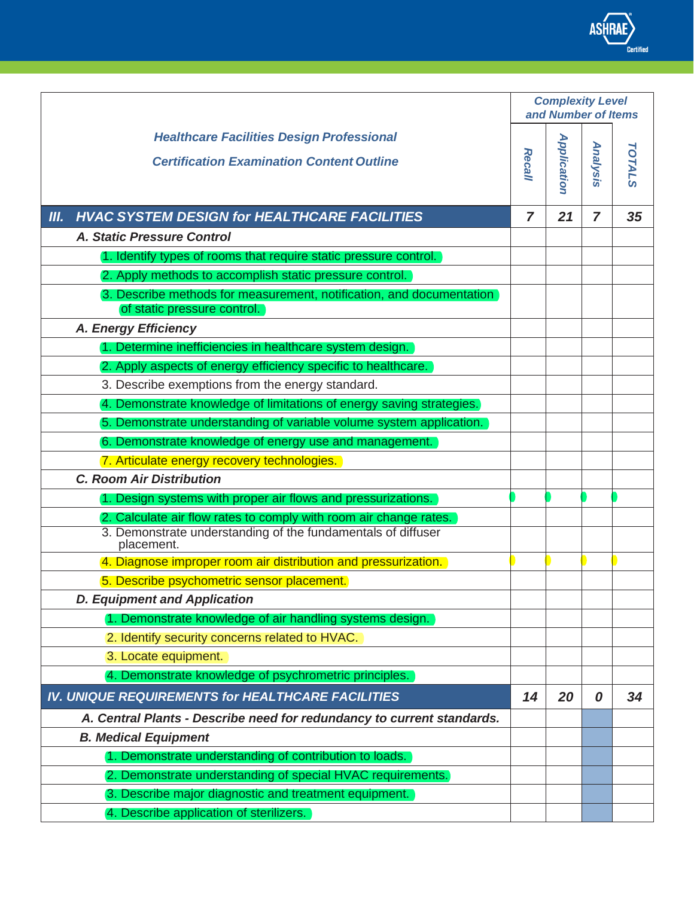|                                                                                                     | <b>Complexity Level</b><br>and Number of Items |             |                |               |
|-----------------------------------------------------------------------------------------------------|------------------------------------------------|-------------|----------------|---------------|
| <b>Healthcare Facilities Design Professional</b>                                                    |                                                |             |                |               |
| <b>Certification Examination Content Outline</b>                                                    |                                                | Application |                |               |
|                                                                                                     | <b>Recall</b>                                  |             | Analysis       | <b>TOTALS</b> |
|                                                                                                     |                                                |             |                |               |
| <b>HVAC SYSTEM DESIGN for HEALTHCARE FACILITIES</b><br>III.                                         | $\overline{ }$                                 | 21          | $\overline{7}$ | 35            |
| A. Static Pressure Control                                                                          |                                                |             |                |               |
| 1. Identify types of rooms that require static pressure control.                                    |                                                |             |                |               |
| 2. Apply methods to accomplish static pressure control.                                             |                                                |             |                |               |
| 3. Describe methods for measurement, notification, and documentation<br>of static pressure control. |                                                |             |                |               |
| A. Energy Efficiency                                                                                |                                                |             |                |               |
| 1. Determine inefficiencies in healthcare system design.                                            |                                                |             |                |               |
| 2. Apply aspects of energy efficiency specific to healthcare.                                       |                                                |             |                |               |
| 3. Describe exemptions from the energy standard.                                                    |                                                |             |                |               |
| 4. Demonstrate knowledge of limitations of energy saving strategies.                                |                                                |             |                |               |
| 5. Demonstrate understanding of variable volume system application.                                 |                                                |             |                |               |
| 6. Demonstrate knowledge of energy use and management.                                              |                                                |             |                |               |
| 7. Articulate energy recovery technologies.                                                         |                                                |             |                |               |
| <b>C. Room Air Distribution</b>                                                                     |                                                |             |                |               |
| 1. Design systems with proper air flows and pressurizations.                                        |                                                |             |                |               |
| 2. Calculate air flow rates to comply with room air change rates.                                   |                                                |             |                |               |
| 3. Demonstrate understanding of the fundamentals of diffuser<br>placement.                          |                                                |             |                |               |
| 4. Diagnose improper room air distribution and pressurization.                                      |                                                |             |                |               |
| 5. Describe psychometric sensor placement.                                                          |                                                |             |                |               |
| <b>D. Equipment and Application</b>                                                                 |                                                |             |                |               |
| 1. Demonstrate knowledge of air handling systems design.                                            |                                                |             |                |               |
| 2. Identify security concerns related to HVAC.                                                      |                                                |             |                |               |
| 3. Locate equipment.                                                                                |                                                |             |                |               |
| 4. Demonstrate knowledge of psychrometric principles.                                               |                                                |             |                |               |
| IV. UNIQUE REQUIREMENTS for HEALTHCARE FACILITIES                                                   | 14                                             | 20          | 0              | 34            |
| A. Central Plants - Describe need for redundancy to current standards.                              |                                                |             |                |               |
| <b>B. Medical Equipment</b>                                                                         |                                                |             |                |               |
| 1. Demonstrate understanding of contribution to loads.                                              |                                                |             |                |               |
| 2. Demonstrate understanding of special HVAC requirements.                                          |                                                |             |                |               |
| 3. Describe major diagnostic and treatment equipment.                                               |                                                |             |                |               |
| 4. Describe application of sterilizers.                                                             |                                                |             |                |               |

ASHRAE

*Certified*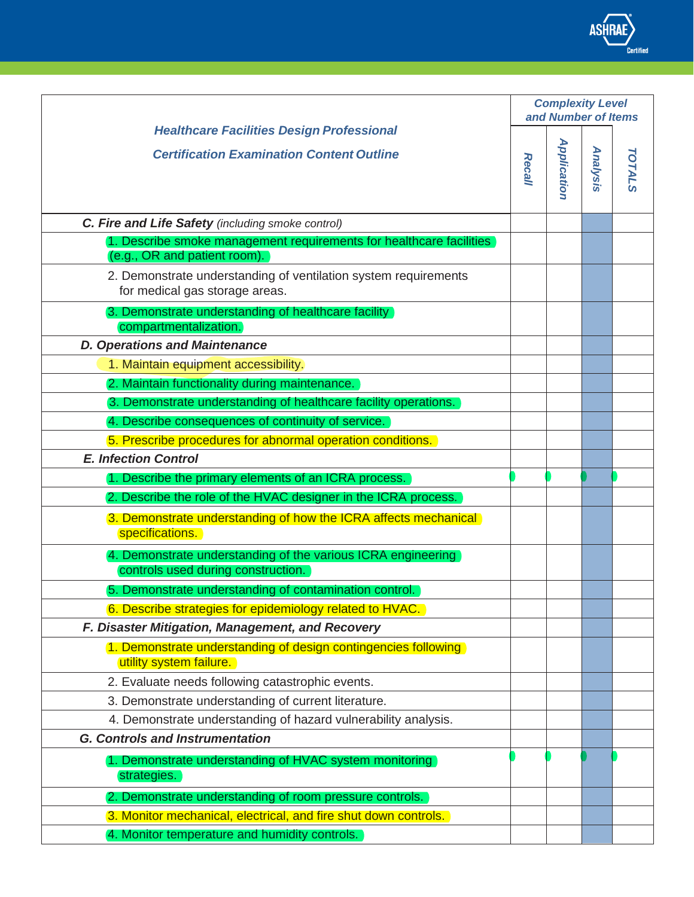|                                                                                                    | <b>Complexity Level</b><br>and Number of Items |                    |          |               |
|----------------------------------------------------------------------------------------------------|------------------------------------------------|--------------------|----------|---------------|
| <b>Healthcare Facilities Design Professional</b>                                                   |                                                |                    |          |               |
| <b>Certification Examination Content Outline</b>                                                   | <b>Recall</b>                                  | <b>Application</b> | Analysis | <b>TOTALS</b> |
| C. Fire and Life Safety (including smoke control)                                                  |                                                |                    |          |               |
| 1. Describe smoke management requirements for healthcare facilities                                |                                                |                    |          |               |
| (e.g., OR and patient room).                                                                       |                                                |                    |          |               |
| 2. Demonstrate understanding of ventilation system requirements<br>for medical gas storage areas.  |                                                |                    |          |               |
| 3. Demonstrate understanding of healthcare facility<br>compartmentalization.                       |                                                |                    |          |               |
| <b>D. Operations and Maintenance</b>                                                               |                                                |                    |          |               |
| 1. Maintain equipment accessibility.                                                               |                                                |                    |          |               |
| 2. Maintain functionality during maintenance.                                                      |                                                |                    |          |               |
| 3. Demonstrate understanding of healthcare facility operations.                                    |                                                |                    |          |               |
| 4. Describe consequences of continuity of service.                                                 |                                                |                    |          |               |
| 5. Prescribe procedures for abnormal operation conditions.                                         |                                                |                    |          |               |
| <b>E. Infection Control</b>                                                                        |                                                |                    |          |               |
| 1. Describe the primary elements of an ICRA process.                                               |                                                |                    |          |               |
| 2. Describe the role of the HVAC designer in the ICRA process.                                     |                                                |                    |          |               |
| 3. Demonstrate understanding of how the ICRA affects mechanical<br>specifications.                 |                                                |                    |          |               |
| 4. Demonstrate understanding of the various ICRA engineering<br>controls used during construction. |                                                |                    |          |               |
| 5. Demonstrate understanding of contamination control.                                             |                                                |                    |          |               |
| 6. Describe strategies for epidemiology related to HVAC.                                           |                                                |                    |          |               |
| F. Disaster Mitigation, Management, and Recovery                                                   |                                                |                    |          |               |
| 1. Demonstrate understanding of design contingencies following<br>utility system failure.          |                                                |                    |          |               |
| 2. Evaluate needs following catastrophic events.                                                   |                                                |                    |          |               |
| 3. Demonstrate understanding of current literature.                                                |                                                |                    |          |               |
| 4. Demonstrate understanding of hazard vulnerability analysis.                                     |                                                |                    |          |               |
| <b>G. Controls and Instrumentation</b>                                                             |                                                |                    |          |               |
| 1. Demonstrate understanding of HVAC system monitoring<br>strategies.                              |                                                |                    |          |               |
| 2. Demonstrate understanding of room pressure controls.                                            |                                                |                    |          |               |
| 3. Monitor mechanical, electrical, and fire shut down controls.                                    |                                                |                    |          |               |
| 4. Monitor temperature and humidity controls.                                                      |                                                |                    |          |               |

ASHRAE

*Certified*